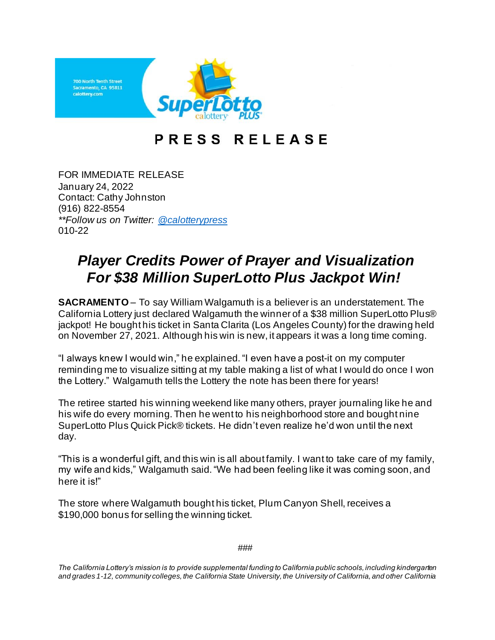

## PRESS RELEASE

FOR IMMEDIATE RELEASE January 24, 2022 Contact: Cathy Johnston (916) 822-8554 *\*\*Follow us on Twitter: [@calotterypress](https://twitter.com/calotterypress)* 010-22

## *Player Credits Power of Prayer and Visualization For \$38 Million SuperLotto Plus Jackpot Win!*

**SACRAMENTO** – To say William Walgamuth is a believer is an understatement. The California Lottery just declared Walgamuth the winner of a \$38 million SuperLotto Plus® jackpot! He bought his ticket in Santa Clarita (Los Angeles County) for the drawing held on November 27, 2021. Although his win is new, it appears it was a long time coming.

"I always knew I would win," he explained. "I even have a post-it on my computer reminding me to visualize sitting at my table making a list of what I would do once I won the Lottery." Walgamuth tells the Lottery the note has been there for years!

The retiree started his winning weekend like many others, prayer journaling like he and his wife do every morning. Then he went to his neighborhood store and bought nine SuperLotto Plus Quick Pick® tickets. He didn't even realize he'd won until the next day.

"This is a wonderful gift, and this win is all about family. I want to take care of my family, my wife and kids," Walgamuth said."We had been feeling like it was coming soon, and here it is!"

The store where Walgamuth bought his ticket, Plum Canyon Shell, receives a \$190,000 bonus for selling the winning ticket.

###

*The California Lottery's mission is to provide supplemental funding to California public schools, including kindergarten and grades 1-12, community colleges, the California State University, the University of California, and other California*